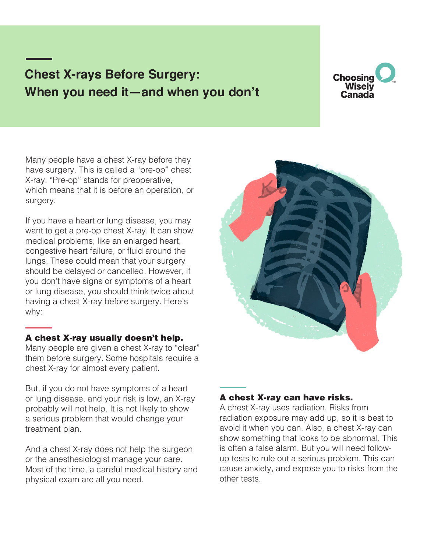# **Chest X-rays Before Surgery: When you need it—and when you don't**



Many people have a chest X-ray before they have surgery. This is called a "pre-op" chest X-ray. "Pre-op" stands for preoperative, which means that it is before an operation, or surgery.

If you have a heart or lung disease, you may want to get a pre-op chest X-ray. It can show medical problems, like an enlarged heart, congestive heart failure, or fluid around the lungs. These could mean that your surgery should be delayed or cancelled. However, if you don't have signs or symptoms of a heart or lung disease, you should think twice about having a chest X-ray before surgery. Here's why:

### A chest X-ray usually doesn't help.

Many people are given a chest X-ray to "clear" them before surgery. Some hospitals require a chest X-ray for almost every patient.

But, if you do not have symptoms of a heart or lung disease, and your risk is low, an X-ray probably will not help. It is not likely to show a serious problem that would change your treatment plan.

And a chest X-ray does not help the surgeon or the anesthesiologist manage your care. Most of the time, a careful medical history and physical exam are all you need.



### A chest X-ray can have risks.

A chest X-ray uses radiation. Risks from radiation exposure may add up, so it is best to avoid it when you can. Also, a chest X-ray can show something that looks to be abnormal. This is often a false alarm. But you will need followup tests to rule out a serious problem. This can cause anxiety, and expose you to risks from the other tests.